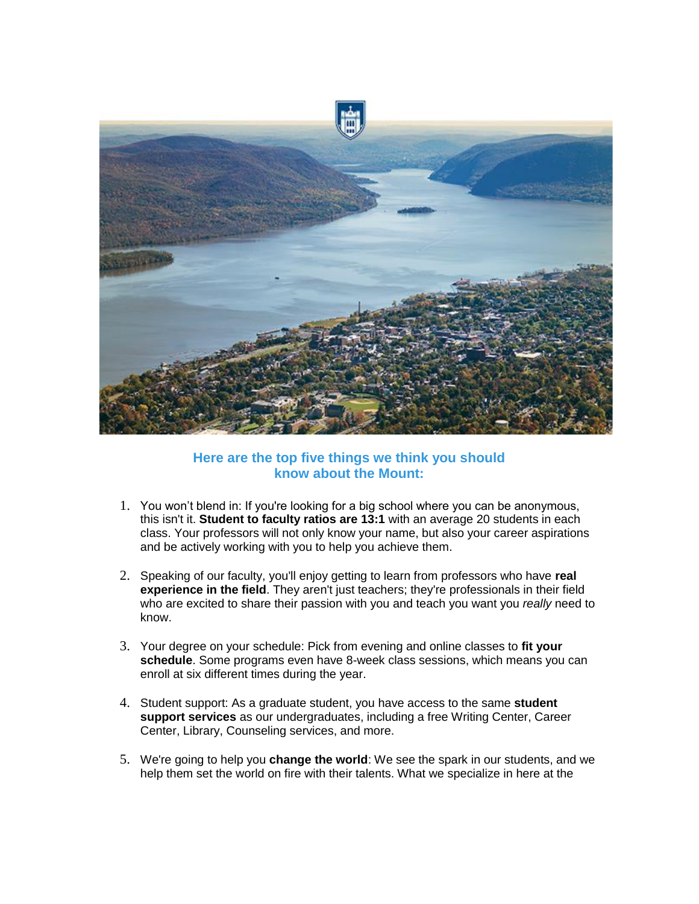

## **Here are the top five things we think you should know about the Mount:**

- 1. You won't blend in: If you're looking for a big school where you can be anonymous, this isn't it. **Student to faculty ratios are 13:1** with an average 20 students in each class. Your professors will not only know your name, but also your career aspirations and be actively working with you to help you achieve them.
- 2. Speaking of our faculty, you'll enjoy getting to learn from professors who have **real experience in the field**. They aren't just teachers; they're professionals in their field who are excited to share their passion with you and teach you want you *really* need to know.
- 3. Your degree on your schedule: Pick from evening and online classes to **fit your schedule**. Some programs even have 8-week class sessions, which means you can enroll at six different times during the year.
- 4. Student support: As a graduate student, you have access to the same **student support services** as our undergraduates, including a free Writing Center, Career Center, Library, Counseling services, and more.
- 5. We're going to help you **change the world**: We see the spark in our students, and we help them set the world on fire with their talents. What we specialize in here at the